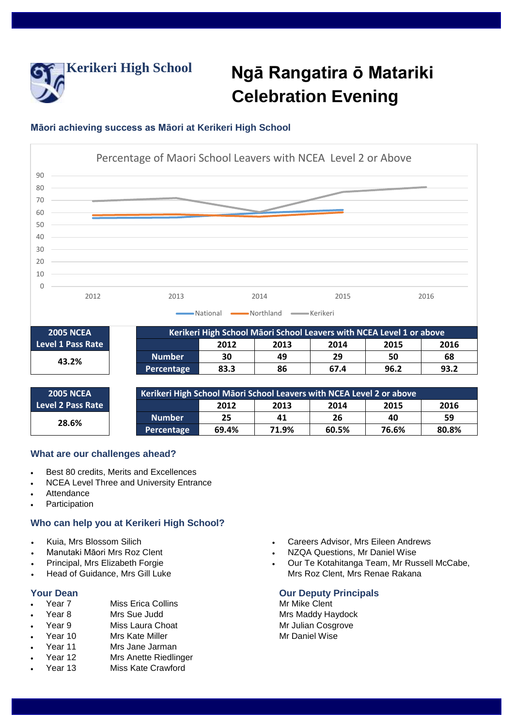

# **Kerikeri High School Ngā Rangatira ō Matariki Celebration Evening**

# **Māori achieving success as Māori at Kerikeri High School**



### **What are our challenges ahead?**

- Best 80 credits, Merits and Excellences
- NCEA Level Three and University Entrance
- Attendance
- Participation

## **Who can help you at Kerikeri High School?**

- Kuia, Mrs Blossom Silich
- Manutaki Māori Mrs Roz Clent
- Principal, Mrs Elizabeth Forgie
- Head of Guidance, Mrs Gill Luke

- **Your Dean**<br>
 Year 7 Miss Erica Collins<br> **CALC Mike Clent**<br>
Mr Mike Clent Miss Erica Collins Mr Mike Clent
- Year 8 Mrs Sue Judd Mrs Maddy Haydock
- Year 9 Miss Laura Choat Mr Julian Cosgrove
- Year 10 Mrs Kate Miller Mr Daniel Wise
- Year 11 Mrs Jane Jarman<br>Year 12 Mrs Anette Riedlin
- **Mrs Anette Riedlinger**
- Year 13 Miss Kate Crawford
- Careers Advisor, Mrs Eileen Andrews
- NZQA Questions, Mr Daniel Wise
- Our Te Kotahitanga Team, Mr Russell McCabe, Mrs Roz Clent, Mrs Renae Rakana